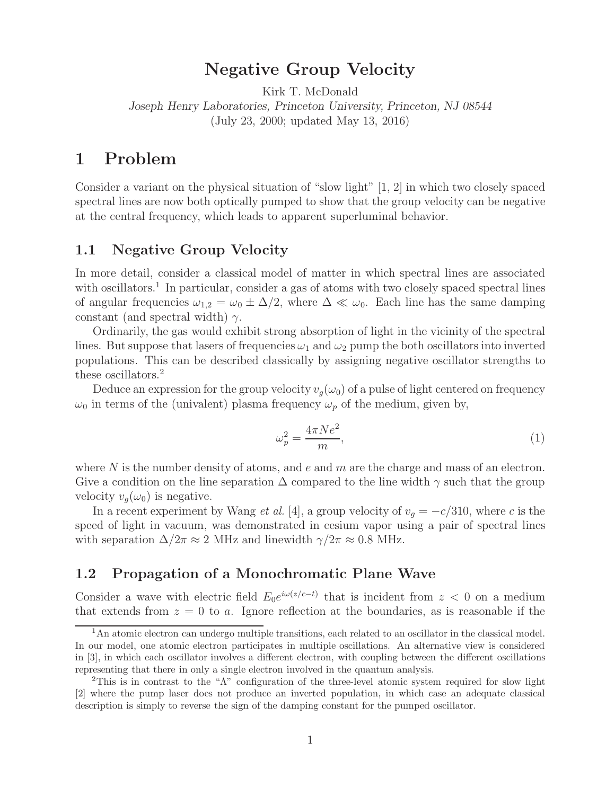# **Negative Group Velocity**

Kirk T. McDonald *Joseph Henry Laboratories, Princeton University, Princeton, NJ 08544* (July 23, 2000; updated May 13, 2016)

## **1 Problem**

Consider a variant on the physical situation of "slow light" [1, 2] in which two closely spaced spectral lines are now both optically pumped to show that the group velocity can be negative at the central frequency, which leads to apparent superluminal behavior.

## **1.1 Negative Group Velocity**

In more detail, consider a classical model of matter in which spectral lines are associated with oscillators.<sup>1</sup> In particular, consider a gas of atoms with two closely spaced spectral lines of angular frequencies  $\omega_{1,2} = \omega_0 \pm \Delta/2$ , where  $\Delta \ll \omega_0$ . Each line has the same damping constant (and spectral width)  $\gamma$ .

Ordinarily, the gas would exhibit strong absorption of light in the vicinity of the spectral lines. But suppose that lasers of frequencies  $\omega_1$  and  $\omega_2$  pump the both oscillators into inverted populations. This can be described classically by assigning negative oscillator strengths to these oscillators.<sup>2</sup>

Deduce an expression for the group velocity  $v_g(\omega_0)$  of a pulse of light centered on frequency  $\omega_0$  in terms of the (univalent) plasma frequency  $\omega_p$  of the medium, given by,

$$
\omega_p^2 = \frac{4\pi Ne^2}{m},\tag{1}
$$

where  $N$  is the number density of atoms, and  $e$  and  $m$  are the charge and mass of an electron. Give a condition on the line separation  $\Delta$  compared to the line width  $\gamma$  such that the group velocity  $v_q(\omega_0)$  is negative.

In a recent experiment by Wang *et al.* [4], a group velocity of  $v_g = -c/310$ , where c is the speed of light in vacuum, was demonstrated in cesium vapor using a pair of spectral lines with separation  $\Delta/2\pi \approx 2$  MHz and linewidth  $\gamma/2\pi \approx 0.8$  MHz.

## **1.2 Propagation of a Monochromatic Plane Wave**

Consider a wave with electric field  $E_0e^{i\omega(z/c-t)}$  that is incident from  $z < 0$  on a medium that extends from  $z = 0$  to a. Ignore reflection at the boundaries, as is reasonable if the

<sup>&</sup>lt;sup>1</sup>An atomic electron can undergo multiple transitions, each related to an oscillator in the classical model. In our model, one atomic electron participates in multiple oscillations. An alternative view is considered in [3], in which each oscillator involves a different electron, with coupling between the different oscillations representing that there in only a single electron involved in the quantum analysis.

<sup>2</sup>This is in contrast to the "Λ" configuration of the three-level atomic system required for slow light [2] where the pump laser does not produce an inverted population, in which case an adequate classical description is simply to reverse the sign of the damping constant for the pumped oscillator.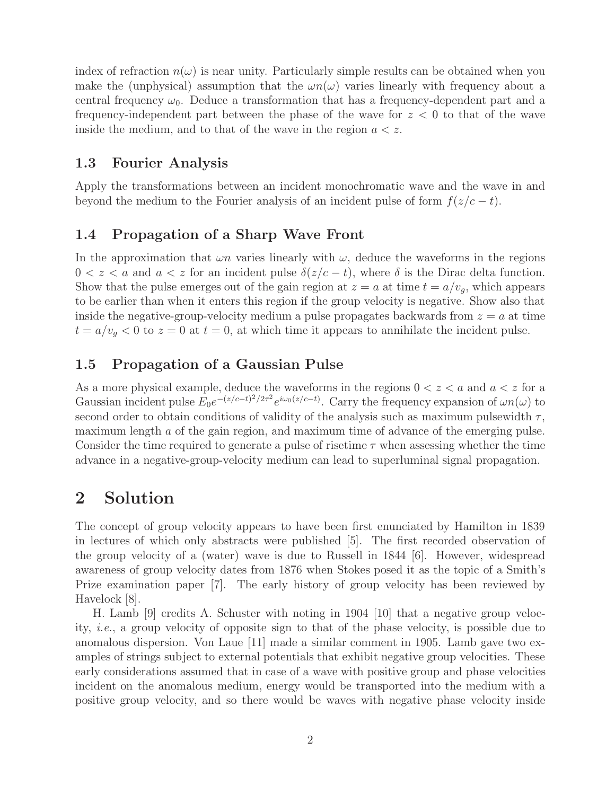index of refraction  $n(\omega)$  is near unity. Particularly simple results can be obtained when you make the (unphysical) assumption that the  $\omega n(\omega)$  varies linearly with frequency about a central frequency  $\omega_0$ . Deduce a transformation that has a frequency-dependent part and a frequency-independent part between the phase of the wave for  $z < 0$  to that of the wave inside the medium, and to that of the wave in the region  $a < z$ .

### **1.3 Fourier Analysis**

Apply the transformations between an incident monochromatic wave and the wave in and beyond the medium to the Fourier analysis of an incident pulse of form  $f(z/c - t)$ .

## **1.4 Propagation of a Sharp Wave Front**

In the approximation that  $\omega n$  varies linearly with  $\omega$ , deduce the waveforms in the regions  $0 < z < a$  and  $a < z$  for an incident pulse  $\delta(z/c - t)$ , where  $\delta$  is the Dirac delta function. Show that the pulse emerges out of the gain region at  $z = a$  at time  $t = a/v<sub>g</sub>$ , which appears to be earlier than when it enters this region if the group velocity is negative. Show also that inside the negative-group-velocity medium a pulse propagates backwards from  $z = a$  at time  $t = a/v_q < 0$  to  $z = 0$  at  $t = 0$ , at which time it appears to annihilate the incident pulse.

## **1.5 Propagation of a Gaussian Pulse**

As a more physical example, deduce the waveforms in the regions  $0 < z < a$  and  $a < z$  for a Gaussian incident pulse  $E_0e^{-(z/c-t)^2/2\tau^2}e^{i\omega_0(z/c-t)}$ . Carry the frequency expansion of  $\omega n(\omega)$  to second order to obtain conditions of validity of the analysis such as maximum pulsewidth  $\tau$ , maximum length a of the gain region, and maximum time of advance of the emerging pulse. Consider the time required to generate a pulse of risetime  $\tau$  when assessing whether the time advance in a negative-group-velocity medium can lead to superluminal signal propagation.

# **2 Solution**

The concept of group velocity appears to have been first enunciated by Hamilton in 1839 in lectures of which only abstracts were published [5]. The first recorded observation of the group velocity of a (water) wave is due to Russell in 1844 [6]. However, widespread awareness of group velocity dates from 1876 when Stokes posed it as the topic of a Smith's Prize examination paper [7]. The early history of group velocity has been reviewed by Havelock [8].

H. Lamb [9] credits A. Schuster with noting in 1904 [10] that a negative group velocity, *i.e.*, a group velocity of opposite sign to that of the phase velocity, is possible due to anomalous dispersion. Von Laue [11] made a similar comment in 1905. Lamb gave two examples of strings subject to external potentials that exhibit negative group velocities. These early considerations assumed that in case of a wave with positive group and phase velocities incident on the anomalous medium, energy would be transported into the medium with a positive group velocity, and so there would be waves with negative phase velocity inside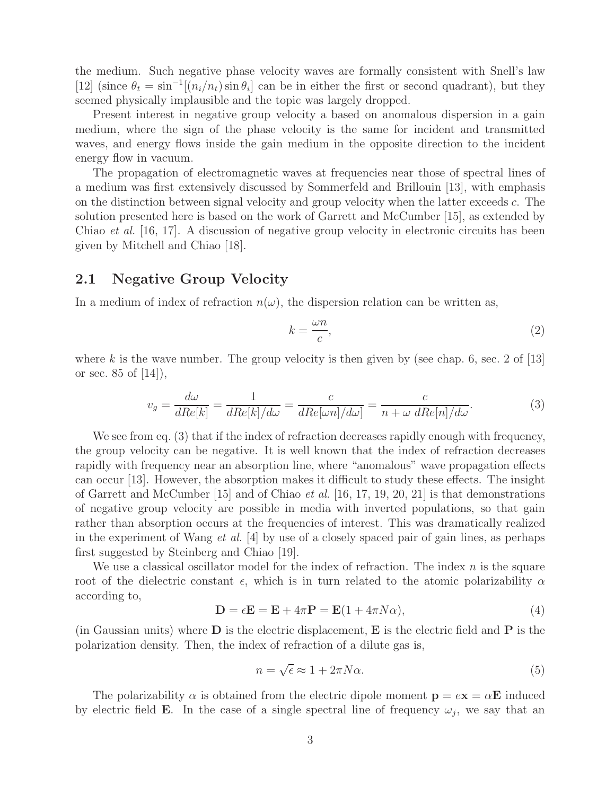the medium. Such negative phase velocity waves are formally consistent with Snell's law [12] (since  $\theta_t = \sin^{-1}[(n_i/n_t)\sin \theta_i]$  can be in either the first or second quadrant), but they seemed physically implausible and the topic was largely dropped.

Present interest in negative group velocity a based on anomalous dispersion in a gain medium, where the sign of the phase velocity is the same for incident and transmitted waves, and energy flows inside the gain medium in the opposite direction to the incident energy flow in vacuum.

The propagation of electromagnetic waves at frequencies near those of spectral lines of a medium was first extensively discussed by Sommerfeld and Brillouin [13], with emphasis on the distinction between signal velocity and group velocity when the latter exceeds c. The solution presented here is based on the work of Garrett and McCumber [15], as extended by Chiao *et al.* [16, 17]. A discussion of negative group velocity in electronic circuits has been given by Mitchell and Chiao [18].

### **2.1 Negative Group Velocity**

In a medium of index of refraction  $n(\omega)$ , the dispersion relation can be written as,

$$
k = \frac{\omega n}{c},\tag{2}
$$

where k is the wave number. The group velocity is then given by (see chap. 6, sec. 2 of  $[13]$ ) or sec.  $85$  of  $|14|$ ,

$$
v_g = \frac{d\omega}{dRe[k]} = \frac{1}{dRe[k]/d\omega} = \frac{c}{dRe[\omega n]/d\omega]} = \frac{c}{n + \omega \, dRe[n]/d\omega}.
$$
 (3)

We see from eq. (3) that if the index of refraction decreases rapidly enough with frequency, the group velocity can be negative. It is well known that the index of refraction decreases rapidly with frequency near an absorption line, where "anomalous" wave propagation effects can occur [13]. However, the absorption makes it difficult to study these effects. The insight of Garrett and McCumber [15] and of Chiao *et al.* [16, 17, 19, 20, 21] is that demonstrations of negative group velocity are possible in media with inverted populations, so that gain rather than absorption occurs at the frequencies of interest. This was dramatically realized in the experiment of Wang *et al.* [4] by use of a closely spaced pair of gain lines, as perhaps first suggested by Steinberg and Chiao [19].

We use a classical oscillator model for the index of refraction. The index  $n$  is the square root of the dielectric constant  $\epsilon$ , which is in turn related to the atomic polarizability  $\alpha$ according to,

$$
\mathbf{D} = \epsilon \mathbf{E} = \mathbf{E} + 4\pi \mathbf{P} = \mathbf{E}(1 + 4\pi N\alpha),\tag{4}
$$

(in Gaussian units) where **D** is the electric displacement, **E** is the electric field and **P** is the polarization density. Then, the index of refraction of a dilute gas is,

$$
n = \sqrt{\epsilon} \approx 1 + 2\pi N\alpha. \tag{5}
$$

The polarizability  $\alpha$  is obtained from the electric dipole moment  $\mathbf{p} = e\mathbf{x} = \alpha \mathbf{E}$  induced by electric field **E**. In the case of a single spectral line of frequency  $\omega_j$ , we say that an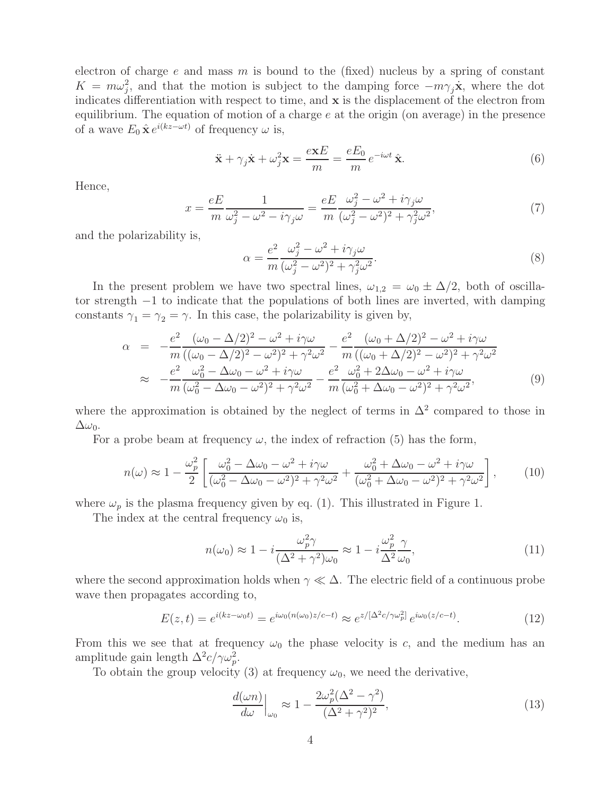electron of charge e and mass m is bound to the (fixed) nucleus by a spring of constant  $K = m\omega_j^2$ , and that the motion is subject to the damping force  $-m\gamma_j\dot{\mathbf{x}}$ , where the dot<br>indicates differentiation with recover to time, and x is the displessment of the electron from indicates differentiation with respect to time, and **x** is the displacement of the electron from equilibrium. The equation of motion of a charge  $e$  at the origin (on average) in the presence of a wave  $E_0 \hat{\mathbf{x}} e^{i(kz-\omega t)}$  of frequency  $\omega$  is,

$$
\ddot{\mathbf{x}} + \gamma_j \dot{\mathbf{x}} + \omega_j^2 \mathbf{x} = \frac{e \mathbf{x} E}{m} = \frac{e E_0}{m} e^{-i\omega t} \hat{\mathbf{x}}.
$$
 (6)

Hence,

$$
x = \frac{eE}{m} \frac{1}{\omega_j^2 - \omega^2 - i\gamma_j \omega} = \frac{eE}{m} \frac{\omega_j^2 - \omega^2 + i\gamma_j \omega}{(\omega_j^2 - \omega^2)^2 + \gamma_j^2 \omega^2},\tag{7}
$$

and the polarizability is,

$$
\alpha = \frac{e^2}{m} \frac{\omega_j^2 - \omega^2 + i\gamma_j \omega}{(\omega_j^2 - \omega^2)^2 + \gamma_j^2 \omega^2}.
$$
\n(8)

In the present problem we have two spectral lines,  $\omega_{1,2} = \omega_0 \pm \Delta/2$ , both of oscillator strength −1 to indicate that the populations of both lines are inverted, with damping constants  $\gamma_1 = \gamma_2 = \gamma$ . In this case, the polarizability is given by,

$$
\alpha = -\frac{e^2}{m} \frac{(\omega_0 - \Delta/2)^2 - \omega^2 + i\gamma\omega}{((\omega_0 - \Delta/2)^2 - \omega^2)^2 + \gamma^2\omega^2} - \frac{e^2}{m} \frac{(\omega_0 + \Delta/2)^2 - \omega^2 + i\gamma\omega}{((\omega_0 + \Delta/2)^2 - \omega^2)^2 + \gamma^2\omega^2} \n\approx -\frac{e^2}{m} \frac{\omega_0^2 - \Delta\omega_0 - \omega^2 + i\gamma\omega}{(\omega_0^2 - \Delta\omega_0 - \omega^2)^2 + \gamma^2\omega^2} - \frac{e^2}{m} \frac{\omega_0^2 + 2\Delta\omega_0 - \omega^2 + i\gamma\omega}{(\omega_0^2 + \Delta\omega_0 - \omega^2)^2 + \gamma^2\omega^2},
$$
\n(9)

where the approximation is obtained by the neglect of terms in  $\Delta^2$  compared to those in  $\Delta\omega_0$ .

For a probe beam at frequency  $\omega$ , the index of refraction (5) has the form,

$$
n(\omega) \approx 1 - \frac{\omega_p^2}{2} \left[ \frac{\omega_0^2 - \Delta\omega_0 - \omega^2 + i\gamma\omega}{(\omega_0^2 - \Delta\omega_0 - \omega^2)^2 + \gamma^2\omega^2} + \frac{\omega_0^2 + \Delta\omega_0 - \omega^2 + i\gamma\omega}{(\omega_0^2 + \Delta\omega_0 - \omega^2)^2 + \gamma^2\omega^2} \right],
$$
 (10)

where  $\omega_p$  is the plasma frequency given by eq. (1). This illustrated in Figure 1.

The index at the central frequency  $\omega_0$  is,

$$
n(\omega_0) \approx 1 - i \frac{\omega_p^2 \gamma}{(\Delta^2 + \gamma^2)\omega_0} \approx 1 - i \frac{\omega_p^2}{\Delta^2} \frac{\gamma}{\omega_0},\tag{11}
$$

where the second approximation holds when  $\gamma \ll \Delta$ . The electric field of a continuous probe wave then propagates according to,

$$
E(z,t) = e^{i(kz - \omega_0 t)} = e^{i\omega_0 (n(\omega_0)z/c - t)} \approx e^{z/[\Delta^2 c/\gamma \omega_p^2]} e^{i\omega_0 (z/c - t)}.
$$
 (12)

From this we see that at frequency  $\omega_0$  the phase velocity is c, and the medium has an amplitude gain length  $\Delta^2 c / \gamma \omega_p^2$ .<br>To obtain the group velocity

To obtain the group velocity (3) at frequency  $\omega_0$ , we need the derivative,

$$
\frac{d(\omega n)}{d\omega}\Big|_{\omega_0} \approx 1 - \frac{2\omega_p^2(\Delta^2 - \gamma^2)}{(\Delta^2 + \gamma^2)^2},\tag{13}
$$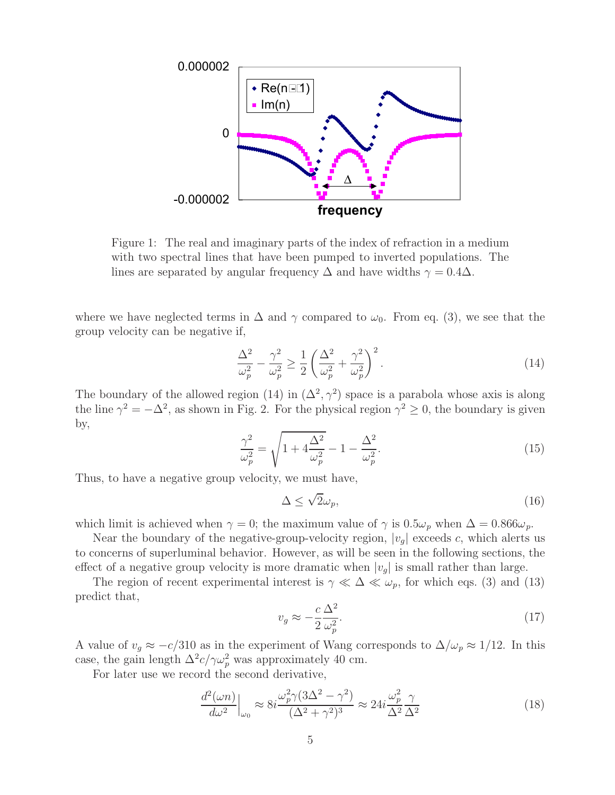

Figure 1: The real and imaginary parts of the index of refraction in a medium with two spectral lines that have been pumped to inverted populations. The lines are separated by angular frequency  $\Delta$  and have widths  $\gamma = 0.4\Delta$ .

where we have neglected terms in  $\Delta$  and  $\gamma$  compared to  $\omega_0$ . From eq. (3), we see that the group velocity can be negative if,

$$
\frac{\Delta^2}{\omega_p^2} - \frac{\gamma^2}{\omega_p^2} \ge \frac{1}{2} \left( \frac{\Delta^2}{\omega_p^2} + \frac{\gamma^2}{\omega_p^2} \right)^2.
$$
\n(14)

The boundary of the allowed region (14) in  $(\Delta^2, \gamma^2)$  space is a parabola whose axis is along the line  $\gamma^2 = -\Delta^2$ , as shown in Fig. 2. For the physical region  $\gamma^2 \ge 0$ , the boundary is given by,

$$
\frac{\gamma^2}{\omega_p^2} = \sqrt{1 + 4\frac{\Delta^2}{\omega_p^2} - 1 - \frac{\Delta^2}{\omega_p^2}}.
$$
\n(15)

Thus, to have a negative group velocity, we must have,

$$
\Delta \le \sqrt{2}\omega_p,\tag{16}
$$

which limit is achieved when  $\gamma = 0$ ; the maximum value of  $\gamma$  is  $0.5\omega_p$  when  $\Delta = 0.866\omega_p$ .

Near the boundary of the negative-group-velocity region,  $|v_q|$  exceeds c, which alerts us to concerns of superluminal behavior. However, as will be seen in the following sections, the effect of a negative group velocity is more dramatic when  $|v_q|$  is small rather than large.

The region of recent experimental interest is  $\gamma \ll \Delta \ll \omega_p$ , for which eqs. (3) and (13) predict that,

$$
v_g \approx -\frac{c}{2} \frac{\Delta^2}{\omega_p^2}.\tag{17}
$$

A value of  $v_g \approx -c/310$  as in the experiment of Wang corresponds to  $\Delta/\omega_p \approx 1/12$ . In this case, the gain length  $\Delta^2 c / \gamma \omega_p^2$  was approximately 40 cm.

For later use we record the second derivative,

$$
\frac{d^2(\omega n)}{d\omega^2}\Big|_{\omega_0} \approx 8i \frac{\omega_p^2 \gamma (3\Delta^2 - \gamma^2)}{(\Delta^2 + \gamma^2)^3} \approx 24i \frac{\omega_p^2}{\Delta^2} \frac{\gamma}{\Delta^2}
$$
\n(18)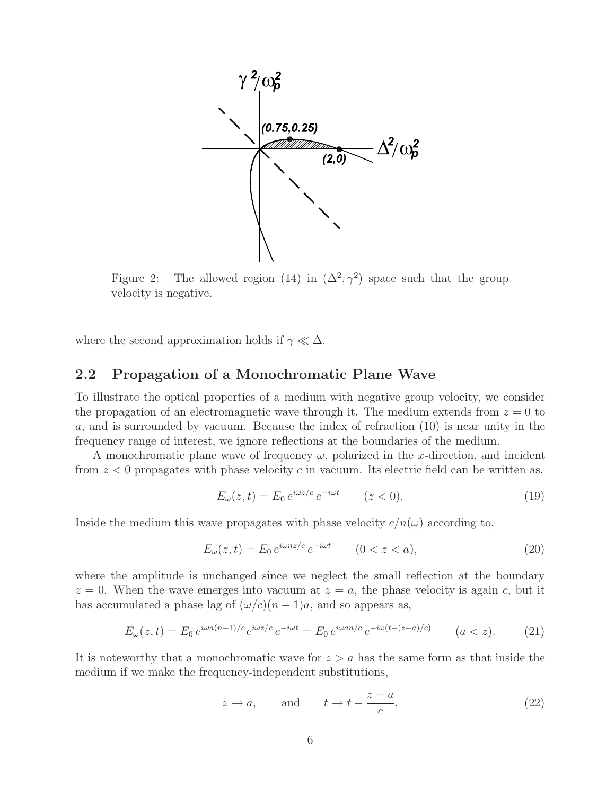

Figure 2: The allowed region (14) in  $(\Delta^2, \gamma^2)$  space such that the group velocity is negative.

where the second approximation holds if  $\gamma \ll \Delta.$ 

### **2.2 Propagation of a Monochromatic Plane Wave**

To illustrate the optical properties of a medium with negative group velocity, we consider the propagation of an electromagnetic wave through it. The medium extends from  $z = 0$  to a, and is surrounded by vacuum. Because the index of refraction (10) is near unity in the frequency range of interest, we ignore reflections at the boundaries of the medium.

A monochromatic plane wave of frequency  $\omega$ , polarized in the x-direction, and incident from  $z < 0$  propagates with phase velocity c in vacuum. Its electric field can be written as,

$$
E_{\omega}(z,t) = E_0 e^{i\omega z/c} e^{-i\omega t} \qquad (z < 0).
$$
 (19)

Inside the medium this wave propagates with phase velocity  $c/n(\omega)$  according to,

$$
E_{\omega}(z,t) = E_0 e^{i\omega nz/c} e^{-i\omega t} \qquad (0 < z < a),
$$
\n(20)

where the amplitude is unchanged since we neglect the small reflection at the boundary  $z = 0$ . When the wave emerges into vacuum at  $z = a$ , the phase velocity is again c, but it has accumulated a phase lag of  $(\omega/c)(n-1)a$ , and so appears as,

$$
E_{\omega}(z,t) = E_0 e^{i\omega a(n-1)/c} e^{i\omega z/c} e^{-i\omega t} = E_0 e^{i\omega a n/c} e^{-i\omega (t-(z-a)/c)} \qquad (a < z). \tag{21}
$$

It is noteworthy that a monochromatic wave for  $z > a$  has the same form as that inside the medium if we make the frequency-independent substitutions,

$$
z \to a
$$
, and  $t \to t - \frac{z - a}{c}$ . (22)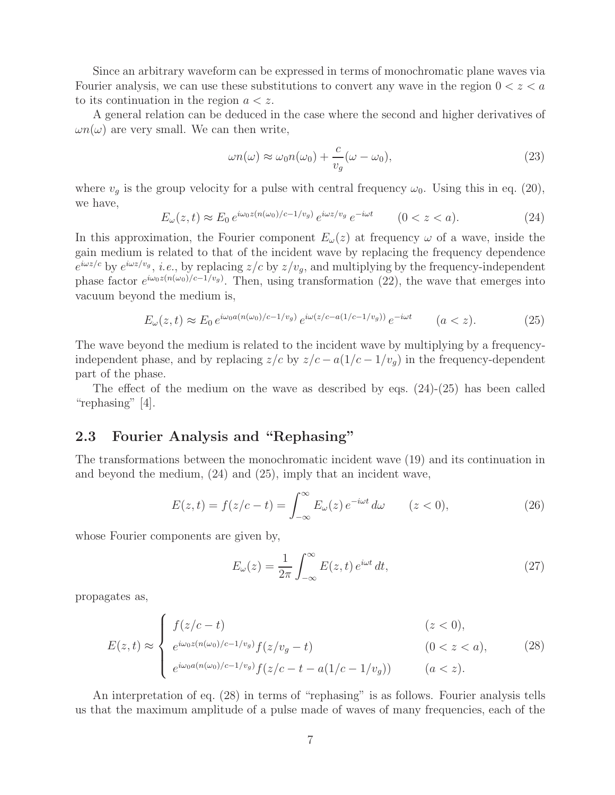Since an arbitrary waveform can be expressed in terms of monochromatic plane waves via Fourier analysis, we can use these substitutions to convert any wave in the region  $0 < z < a$ to its continuation in the region  $a < z$ .

A general relation can be deduced in the case where the second and higher derivatives of  $\omega n(\omega)$  are very small. We can then write,

$$
\omega n(\omega) \approx \omega_0 n(\omega_0) + \frac{c}{v_g} (\omega - \omega_0), \tag{23}
$$

where  $v<sub>g</sub>$  is the group velocity for a pulse with central frequency  $\omega_0$ . Using this in eq. (20), we have,

$$
E_{\omega}(z,t) \approx E_0 e^{i\omega_0 z (n(\omega_0)/c - 1/v_g)} e^{i\omega z/v_g} e^{-i\omega t} \qquad (0 < z < a). \tag{24}
$$

In this approximation, the Fourier component  $E_{\omega}(z)$  at frequency  $\omega$  of a wave, inside the gain medium is related to that of the incident wave by replacing the frequency dependence  $e^{i\omega z/c}$  by  $e^{i\omega z/v_g}$ , *i.e.*, by replacing  $z/c$  by  $z/v_g$ , and multiplying by the frequency-independent phase factor  $e^{i\omega_0 z(n(\omega_0)/c-1/v_g)}$ . Then, using transformation (22), the wave that emerges into vacuum beyond the medium is,

$$
E_{\omega}(z,t) \approx E_0 \, e^{i\omega_0 a(n(\omega_0)/c - 1/v_g)} \, e^{i\omega(z/c - a(1/c - 1/v_g))} \, e^{-i\omega t} \qquad (a < z). \tag{25}
$$

The wave beyond the medium is related to the incident wave by multiplying by a frequencyindependent phase, and by replacing  $z/c$  by  $z/c - a(1/c - 1/v_q)$  in the frequency-dependent part of the phase.

The effect of the medium on the wave as described by eqs. (24)-(25) has been called "rephasing" [4].

#### **2.3 Fourier Analysis and "Rephasing"**

The transformations between the monochromatic incident wave (19) and its continuation in and beyond the medium, (24) and (25), imply that an incident wave,

$$
E(z,t) = f(z/c - t) = \int_{-\infty}^{\infty} E_{\omega}(z) e^{-i\omega t} d\omega \qquad (z < 0),
$$
 (26)

whose Fourier components are given by,

$$
E_{\omega}(z) = \frac{1}{2\pi} \int_{-\infty}^{\infty} E(z, t) e^{i\omega t} dt,
$$
\n(27)

propagates as,

$$
E(z,t) \approx \begin{cases} f(z/c - t) & (z < 0), \\ e^{i\omega_0 z (n(\omega_0)/c - 1/v_g)} f(z/v_g - t) & (0 < z < a), \\ e^{i\omega_0 a (n(\omega_0)/c - 1/v_g)} f(z/c - t - a(1/c - 1/v_g)) & (a < z). \end{cases} \tag{28}
$$

An interpretation of eq. (28) in terms of "rephasing" is as follows. Fourier analysis tells us that the maximum amplitude of a pulse made of waves of many frequencies, each of the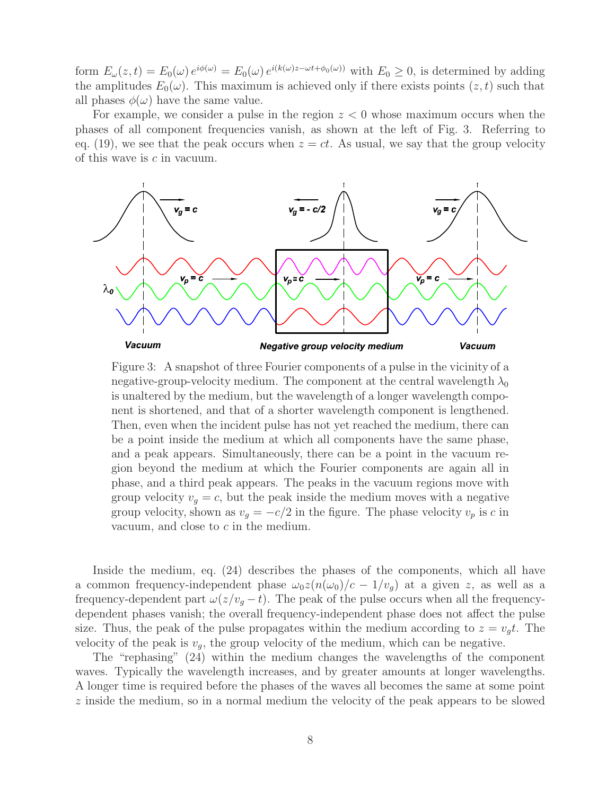form  $E_{\omega}(z,t) = E_0(\omega) e^{i\phi(\omega)} = E_0(\omega) e^{i(k(\omega)z - \omega t + \phi_0(\omega))}$  with  $E_0 \ge 0$ , is determined by adding the amplitudes  $E_0(\omega)$ . This maximum is achieved only if there exists points  $(z, t)$  such that all phases  $\phi(\omega)$  have the same value.

For example, we consider a pulse in the region  $z < 0$  whose maximum occurs when the phases of all component frequencies vanish, as shown at the left of Fig. 3. Referring to eq. (19), we see that the peak occurs when  $z = ct$ . As usual, we say that the group velocity of this wave is c in vacuum.



Figure 3: A snapshot of three Fourier components of a pulse in the vicinity of a negative-group-velocity medium. The component at the central wavelength  $\lambda_0$ is unaltered by the medium, but the wavelength of a longer wavelength component is shortened, and that of a shorter wavelength component is lengthened. Then, even when the incident pulse has not yet reached the medium, there can be a point inside the medium at which all components have the same phase, and a peak appears. Simultaneously, there can be a point in the vacuum region beyond the medium at which the Fourier components are again all in phase, and a third peak appears. The peaks in the vacuum regions move with group velocity  $v_q = c$ , but the peak inside the medium moves with a negative group velocity, shown as  $v_g = -c/2$  in the figure. The phase velocity  $v_p$  is c in vacuum, and close to c in the medium.

Inside the medium, eq. (24) describes the phases of the components, which all have a common frequency-independent phase  $\omega_0 z(n(\omega_0)/c - 1/v_q)$  at a given z, as well as a frequency-dependent part  $\omega(z/v_q - t)$ . The peak of the pulse occurs when all the frequencydependent phases vanish; the overall frequency-independent phase does not affect the pulse size. Thus, the peak of the pulse propagates within the medium according to  $z = v_q t$ . The velocity of the peak is  $v_q$ , the group velocity of the medium, which can be negative.

The "rephasing" (24) within the medium changes the wavelengths of the component waves. Typically the wavelength increases, and by greater amounts at longer wavelengths. A longer time is required before the phases of the waves all becomes the same at some point z inside the medium, so in a normal medium the velocity of the peak appears to be slowed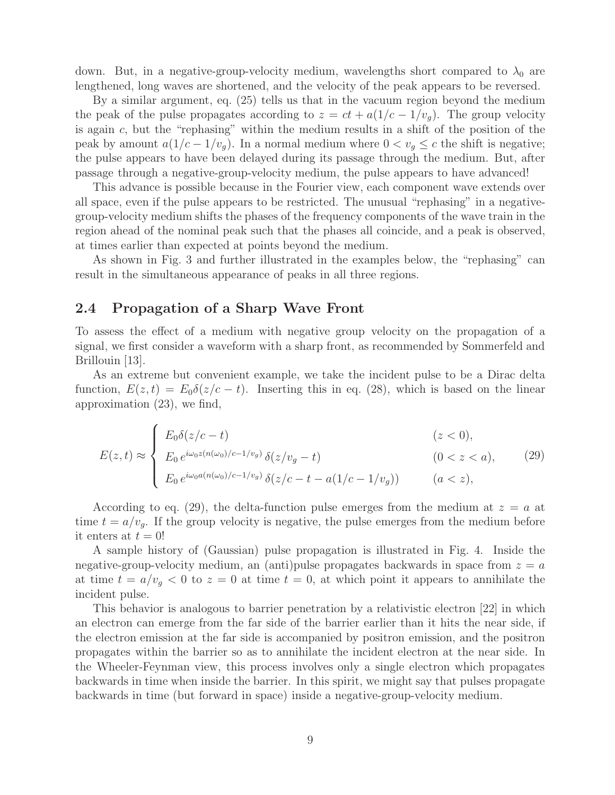down. But, in a negative-group-velocity medium, wavelengths short compared to  $\lambda_0$  are lengthened, long waves are shortened, and the velocity of the peak appears to be reversed.

By a similar argument, eq. (25) tells us that in the vacuum region beyond the medium the peak of the pulse propagates according to  $z = ct + a(1/c - 1/v<sub>g</sub>)$ . The group velocity is again c, but the "rephasing" within the medium results in a shift of the position of the peak by amount  $a(1/c - 1/v_q)$ . In a normal medium where  $0 < v_q \leq c$  the shift is negative; the pulse appears to have been delayed during its passage through the medium. But, after passage through a negative-group-velocity medium, the pulse appears to have advanced!

This advance is possible because in the Fourier view, each component wave extends over all space, even if the pulse appears to be restricted. The unusual "rephasing" in a negativegroup-velocity medium shifts the phases of the frequency components of the wave train in the region ahead of the nominal peak such that the phases all coincide, and a peak is observed, at times earlier than expected at points beyond the medium.

As shown in Fig. 3 and further illustrated in the examples below, the "rephasing" can result in the simultaneous appearance of peaks in all three regions.

#### **2.4 Propagation of a Sharp Wave Front**

To assess the effect of a medium with negative group velocity on the propagation of a signal, we first consider a waveform with a sharp front, as recommended by Sommerfeld and Brillouin [13].

As an extreme but convenient example, we take the incident pulse to be a Dirac delta function,  $E(z, t) = E_0 \delta(z/c - t)$ . Inserting this in eq. (28), which is based on the linear approximation (23), we find,

$$
E(z,t) \approx \begin{cases} E_0 \delta(z/c - t) & (z < 0), \\ E_0 \, e^{i\omega_0 z (n(\omega_0)/c - 1/v_g)} \, \delta(z/v_g - t) & (0 < z < a), \\ E_0 \, e^{i\omega_0 a (n(\omega_0)/c - 1/v_g)} \, \delta(z/c - t - a(1/c - 1/v_g)) & (a < z), \end{cases} \tag{29}
$$

According to eq. (29), the delta-function pulse emerges from the medium at  $z = a$  at time  $t = a/v<sub>g</sub>$ . If the group velocity is negative, the pulse emerges from the medium before it enters at  $t = 0!$ 

A sample history of (Gaussian) pulse propagation is illustrated in Fig. 4. Inside the negative-group-velocity medium, an (anti)pulse propagates backwards in space from  $z = a$ at time  $t = a/v_q < 0$  to  $z = 0$  at time  $t = 0$ , at which point it appears to annihilate the incident pulse.

This behavior is analogous to barrier penetration by a relativistic electron [22] in which an electron can emerge from the far side of the barrier earlier than it hits the near side, if the electron emission at the far side is accompanied by positron emission, and the positron propagates within the barrier so as to annihilate the incident electron at the near side. In the Wheeler-Feynman view, this process involves only a single electron which propagates backwards in time when inside the barrier. In this spirit, we might say that pulses propagate backwards in time (but forward in space) inside a negative-group-velocity medium.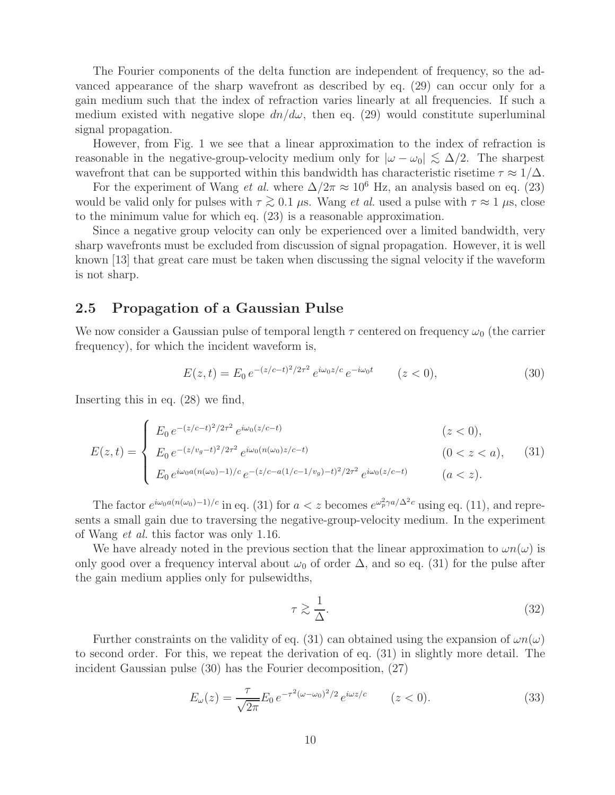The Fourier components of the delta function are independent of frequency, so the advanced appearance of the sharp wavefront as described by eq. (29) can occur only for a gain medium such that the index of refraction varies linearly at all frequencies. If such a medium existed with negative slope  $dn/d\omega$ , then eq. (29) would constitute superluminal signal propagation.

However, from Fig. 1 we see that a linear approximation to the index of refraction is reasonable in the negative-group-velocity medium only for  $|\omega - \omega_0| \lesssim \Delta/2$ . The sharpest wavefront that can be supported within this bandwidth has characteristic risetime  $\tau \approx 1/\Delta$ .

For the experiment of Wang *et al.* where  $\Delta/2\pi \approx 10^6$  Hz, an analysis based on eq. (23) would be valid only for pulses with  $\tau \gtrsim 0.1 \mu$ s. Wang *et al.* used a pulse with  $\tau \approx 1 \mu$ s, close to the minimum value for which eq. (23) is a reasonable approximation.

Since a negative group velocity can only be experienced over a limited bandwidth, very sharp wavefronts must be excluded from discussion of signal propagation. However, it is well known [13] that great care must be taken when discussing the signal velocity if the waveform is not sharp.

### **2.5 Propagation of a Gaussian Pulse**

We now consider a Gaussian pulse of temporal length  $\tau$  centered on frequency  $\omega_0$  (the carrier frequency), for which the incident waveform is,

$$
E(z,t) = E_0 e^{-(z/c-t)^2/2\tau^2} e^{i\omega_0 z/c} e^{-i\omega_0 t} \qquad (z < 0),
$$
\n(30)

Inserting this in eq. (28) we find,

$$
E(z,t) = \begin{cases} E_0 e^{-(z/c-t)^2/2\tau^2} e^{i\omega_0(z/c-t)} & (z < 0), \\ E_0 e^{-(z/v_g - t)^2/2\tau^2} e^{i\omega_0(n(\omega_0)z/c-t)} & (0 < z < a), \\ E_0 e^{i\omega_0 a(n(\omega_0) - 1)/c} e^{-(z/c - a(1/c - 1/v_g) - t)^2/2\tau^2} e^{i\omega_0(z/c-t)} & (a < z). \end{cases} \tag{31}
$$

The factor  $e^{i\omega_0 a(n(\omega_0)-1)/c}$  in eq. (31) for  $a < z$  becomes  $e^{\omega_p^2 \gamma a/\Delta^2 c}$  using eq. (11), and represents a small gain due to traversing the negative-group-velocity medium. In the experiment of Wang *et al.* this factor was only 1.16.

We have already noted in the previous section that the linear approximation to  $\omega n(\omega)$  is only good over a frequency interval about  $\omega_0$  of order  $\Delta$ , and so eq. (31) for the pulse after the gain medium applies only for pulsewidths,

$$
\tau \gtrsim \frac{1}{\Delta}.\tag{32}
$$

Further constraints on the validity of eq. (31) can obtained using the expansion of  $\omega n(\omega)$ to second order. For this, we repeat the derivation of eq. (31) in slightly more detail. The incident Gaussian pulse (30) has the Fourier decomposition, (27)

$$
E_{\omega}(z) = \frac{\tau}{\sqrt{2\pi}} E_0 e^{-\tau^2 (\omega - \omega_0)^2/2} e^{i\omega z/c} \qquad (z < 0).
$$
 (33)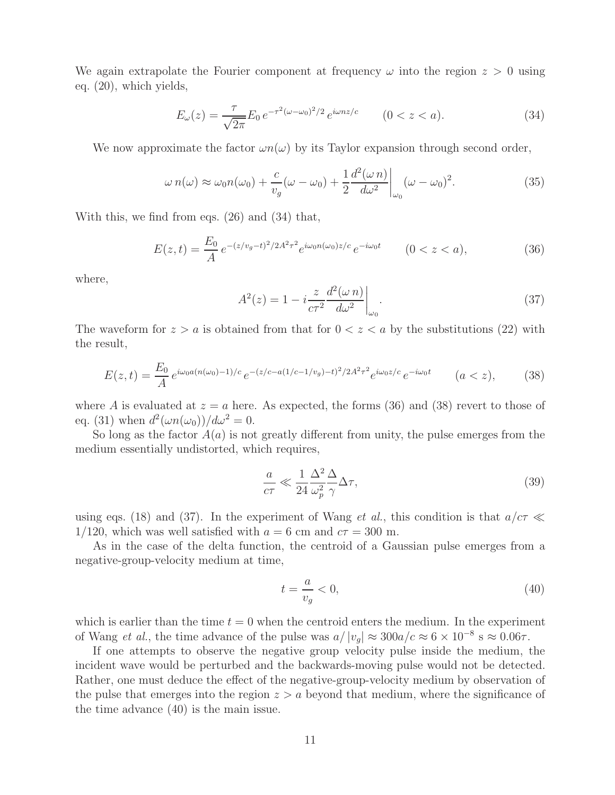We again extrapolate the Fourier component at frequency  $\omega$  into the region  $z > 0$  using eq. (20), which yields,

$$
E_{\omega}(z) = \frac{\tau}{\sqrt{2\pi}} E_0 e^{-\tau^2 (\omega - \omega_0)^2/2} e^{i\omega n z/c} \qquad (0 < z < a).
$$
 (34)

We now approximate the factor  $\omega n(\omega)$  by its Taylor expansion through second order,

$$
\omega n(\omega) \approx \omega_0 n(\omega_0) + \frac{c}{v_g}(\omega - \omega_0) + \frac{1}{2} \frac{d^2(\omega n)}{d\omega^2} \bigg|_{\omega_0} (\omega - \omega_0)^2.
$$
 (35)

With this, we find from eqs. (26) and (34) that,

$$
E(z,t) = \frac{E_0}{A} e^{-(z/v_g - t)^2/2A^2 \tau^2} e^{i\omega_0 n(\omega_0) z/c} e^{-i\omega_0 t} \qquad (0 < z < a),
$$
 (36)

where,

$$
A^{2}(z) = 1 - i \frac{z}{c\tau^{2}} \frac{d^{2}(\omega n)}{d\omega^{2}} \bigg|_{\omega_{0}}.
$$
\n(37)

The waveform for  $z>a$  is obtained from that for  $0 < z < a$  by the substitutions (22) with the result,

$$
E(z,t) = \frac{E_0}{A} e^{i\omega_0 a(n(\omega_0) - 1)/c} e^{-(z/c - a(1/c - 1/v_g) - t)^2 / 2A^2 \tau^2} e^{i\omega_0 z/c} e^{-i\omega_0 t} \qquad (a < z),
$$
 (38)

where A is evaluated at  $z = a$  here. As expected, the forms (36) and (38) revert to those of eq. (31) when  $d^2(\omega n(\omega_0))/d\omega^2 = 0$ .

So long as the factor  $A(a)$  is not greatly different from unity, the pulse emerges from the medium essentially undistorted, which requires,

$$
\frac{a}{c\tau} \ll \frac{1}{24} \frac{\Delta^2}{\omega_p^2} \frac{\Delta}{\gamma} \Delta \tau,\tag{39}
$$

using eqs. (18) and (37). In the experiment of Wang *et al.*, this condition is that  $a/c\tau \ll$ 1/120, which was well satisfied with  $a = 6$  cm and  $c\tau = 300$  m.

As in the case of the delta function, the centroid of a Gaussian pulse emerges from a negative-group-velocity medium at time,

$$
t = \frac{a}{v_g} < 0,\tag{40}
$$

which is earlier than the time  $t = 0$  when the centroid enters the medium. In the experiment of Wang *et al.*, the time advance of the pulse was  $a/|v_g| \approx 300a/c \approx 6 \times 10^{-8}$  s  $\approx 0.06\tau$ .

If one attempts to observe the negative group velocity pulse inside the medium, the incident wave would be perturbed and the backwards-moving pulse would not be detected. Rather, one must deduce the effect of the negative-group-velocity medium by observation of the pulse that emerges into the region  $z > a$  beyond that medium, where the significance of the time advance (40) is the main issue.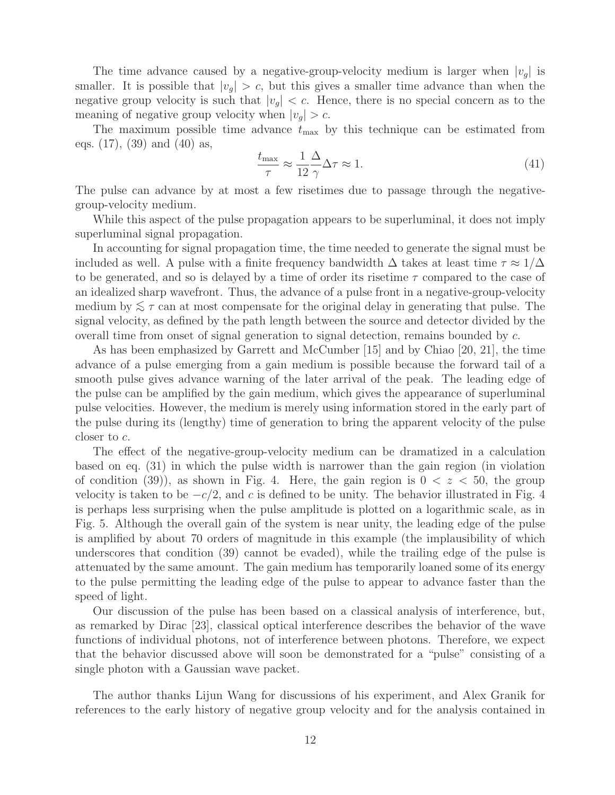The time advance caused by a negative-group-velocity medium is larger when  $|v_q|$  is smaller. It is possible that  $|v_g| > c$ , but this gives a smaller time advance than when the negative group velocity is such that  $|v_g| < c$ . Hence, there is no special concern as to the meaning of negative group velocity when  $|v_g| > c$ .

The maximum possible time advance  $t_{\text{max}}$  by this technique can be estimated from eqs. (17), (39) and (40) as,

$$
\frac{t_{\text{max}}}{\tau} \approx \frac{1}{12} \frac{\Delta}{\gamma} \Delta \tau \approx 1. \tag{41}
$$

The pulse can advance by at most a few risetimes due to passage through the negativegroup-velocity medium.

While this aspect of the pulse propagation appears to be superluminal, it does not imply superluminal signal propagation.

In accounting for signal propagation time, the time needed to generate the signal must be included as well. A pulse with a finite frequency bandwidth  $\Delta$  takes at least time  $\tau \approx 1/\Delta$ to be generated, and so is delayed by a time of order its risetime  $\tau$  compared to the case of an idealized sharp wavefront. Thus, the advance of a pulse front in a negative-group-velocity medium by  $\lesssim \tau$  can at most compensate for the original delay in generating that pulse. The signal velocity, as defined by the path length between the source and detector divided by the overall time from onset of signal generation to signal detection, remains bounded by c.

As has been emphasized by Garrett and McCumber [15] and by Chiao [20, 21], the time advance of a pulse emerging from a gain medium is possible because the forward tail of a smooth pulse gives advance warning of the later arrival of the peak. The leading edge of the pulse can be amplified by the gain medium, which gives the appearance of superluminal pulse velocities. However, the medium is merely using information stored in the early part of the pulse during its (lengthy) time of generation to bring the apparent velocity of the pulse closer to c.

The effect of the negative-group-velocity medium can be dramatized in a calculation based on eq. (31) in which the pulse width is narrower than the gain region (in violation of condition (39)), as shown in Fig. 4. Here, the gain region is  $0 < z < 50$ , the group velocity is taken to be  $-c/2$ , and c is defined to be unity. The behavior illustrated in Fig. 4 is perhaps less surprising when the pulse amplitude is plotted on a logarithmic scale, as in Fig. 5. Although the overall gain of the system is near unity, the leading edge of the pulse is amplified by about 70 orders of magnitude in this example (the implausibility of which underscores that condition (39) cannot be evaded), while the trailing edge of the pulse is attenuated by the same amount. The gain medium has temporarily loaned some of its energy to the pulse permitting the leading edge of the pulse to appear to advance faster than the speed of light.

Our discussion of the pulse has been based on a classical analysis of interference, but, as remarked by Dirac [23], classical optical interference describes the behavior of the wave functions of individual photons, not of interference between photons. Therefore, we expect that the behavior discussed above will soon be demonstrated for a "pulse" consisting of a single photon with a Gaussian wave packet.

The author thanks Lijun Wang for discussions of his experiment, and Alex Granik for references to the early history of negative group velocity and for the analysis contained in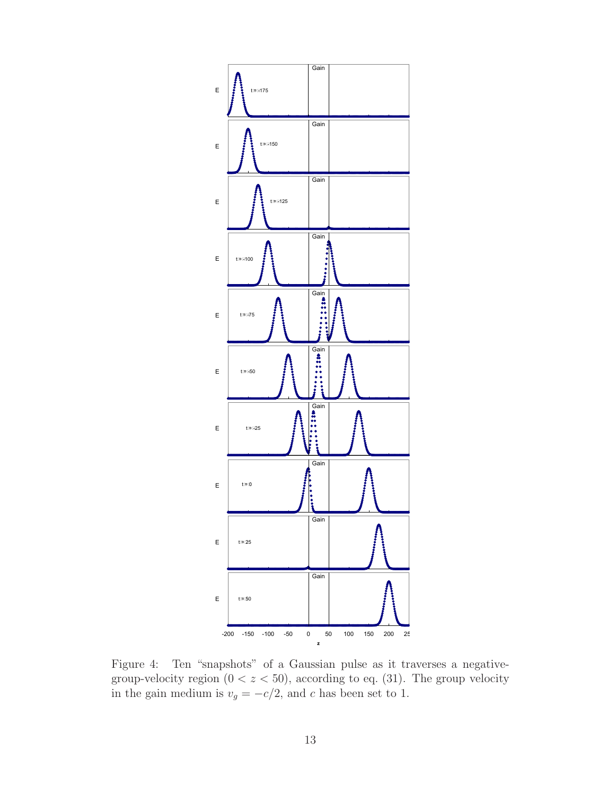

Figure 4: Ten "snapshots" of a Gaussian pulse as it traverses a negativegroup-velocity region  $(0 < z < 50)$ , according to eq. (31). The group velocity in the gain medium is  $v_g = -c/2$ , and c has been set to 1.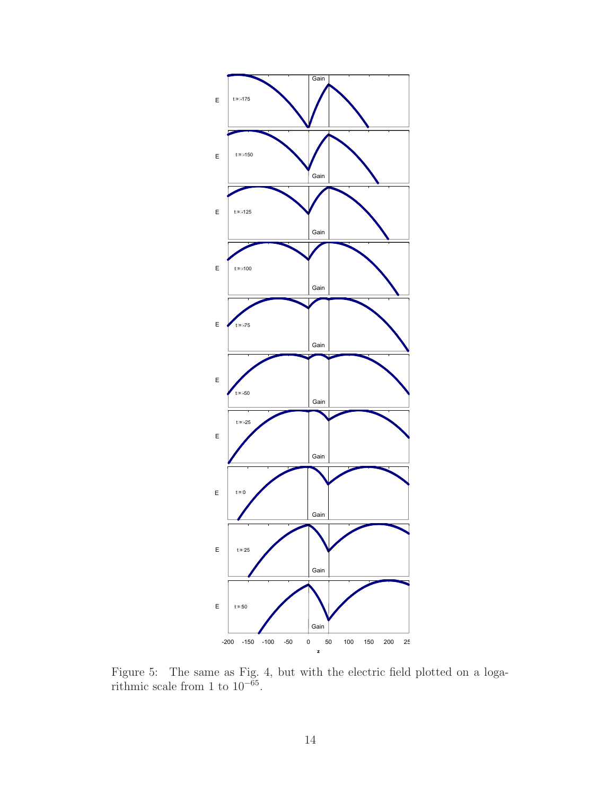

Figure 5: The same as Fig. 4, but with the electric field plotted on a logarithmic scale from 1 to  $10^{-65}$ .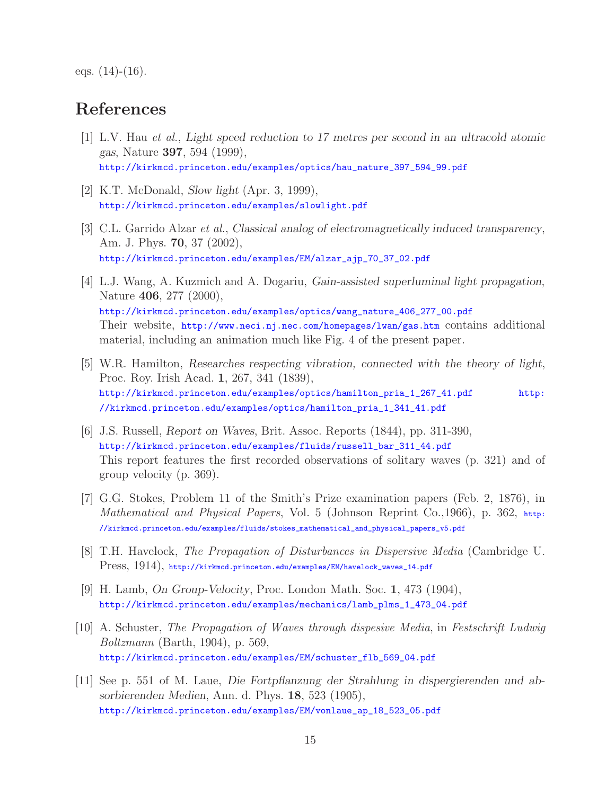eqs.  $(14)-(16)$ .

## **References**

- [1] L.V. Hau *et al.*, *Light speed reduction to 17 metres per second in an ultracold atomic gas*, Nature **397**, 594 (1999), http://kirkmcd.princeton.edu/examples/optics/hau\_nature\_397\_594\_99.pdf
- [2] K.T. McDonald, *Slow light* (Apr. 3, 1999), http://kirkmcd.princeton.edu/examples/slowlight.pdf
- [3] C.L. Garrido Alzar *et al.*, *Classical analog of electromagnetically induced transparency*, Am. J. Phys. **70**, 37 (2002), http://kirkmcd.princeton.edu/examples/EM/alzar\_ajp\_70\_37\_02.pdf
- [4] L.J. Wang, A. Kuzmich and A. Dogariu, *Gain-assisted superluminal light propagation*, Nature **406**, 277 (2000), http://kirkmcd.princeton.edu/examples/optics/wang\_nature\_406\_277\_00.pdf Their website, http://www.neci.nj.nec.com/homepages/lwan/gas.htm contains additional material, including an animation much like Fig. 4 of the present paper.
- [5] W.R. Hamilton, *Researches respecting vibration, connected with the theory of light*, Proc. Roy. Irish Acad. **1**, 267, 341 (1839), http://kirkmcd.princeton.edu/examples/optics/hamilton\_pria\_1\_267\_41.pdf http: //kirkmcd.princeton.edu/examples/optics/hamilton\_pria\_1\_341\_41.pdf
- [6] J.S. Russell, *Report on Waves*, Brit. Assoc. Reports (1844), pp. 311-390, http://kirkmcd.princeton.edu/examples/fluids/russell\_bar\_311\_44.pdf This report features the first recorded observations of solitary waves (p. 321) and of group velocity (p. 369).
- [7] G.G. Stokes, Problem 11 of the Smith's Prize examination papers (Feb. 2, 1876), in *Mathematical and Physical Papers*, Vol. 5 (Johnson Reprint Co., 1966), p. 362, http: //kirkmcd.princeton.edu/examples/fluids/stokes\_mathematical\_and\_physical\_papers\_v5.pdf
- [8] T.H. Havelock, *The Propagation of Disturbances in Dispersive Media* (Cambridge U. Press, 1914), http://kirkmcd.princeton.edu/examples/EM/havelock\_waves\_14.pdf
- [9] H. Lamb, *On Group-Velocity*, Proc. London Math. Soc. **1**, 473 (1904), http://kirkmcd.princeton.edu/examples/mechanics/lamb\_plms\_1\_473\_04.pdf
- [10] A. Schuster, *The Propagation of Waves through dispesive Media*, in *Festschrift Ludwig Boltzmann* (Barth, 1904), p. 569, http://kirkmcd.princeton.edu/examples/EM/schuster\_flb\_569\_04.pdf
- [11] See p. 551 of M. Laue, *Die Fortpflanzung der Strahlung in dispergierenden und absorbierenden Medien*, Ann. d. Phys. **18**, 523 (1905), http://kirkmcd.princeton.edu/examples/EM/vonlaue\_ap\_18\_523\_05.pdf